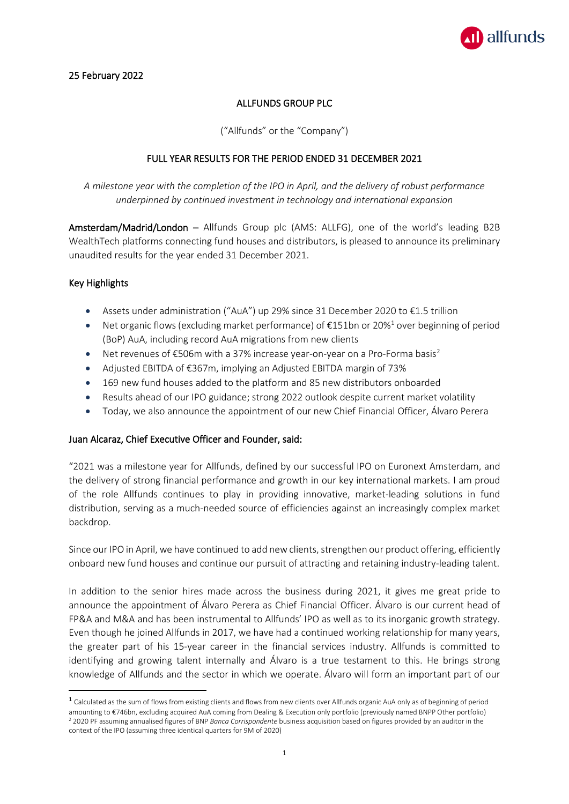

# ALLFUNDS GROUP PLC

("Allfunds" or the "Company")

# FULL YEAR RESULTS FOR THE PERIOD ENDED 31 DECEMBER 2021

*A milestone year with the completion of the IPO in April, and the delivery of robust performance underpinned by continued investment in technology and international expansion*

Amsterdam/Madrid/London – Allfunds Group plc (AMS: ALLFG), one of the world's leading B2B WealthTech platforms connecting fund houses and distributors, is pleased to announce its preliminary unaudited results for the year ended 31 December 2021.

## Key Highlights

- Assets under administration ("AuA") up 29% since 31 December 2020 to €1.5 trillion
- Net organic flows (excluding market performance) of  $\epsilon$ 151bn or 20%<sup>1</sup> over beginning of period (BoP) AuA, including record AuA migrations from new clients
- Net revenues of  $\epsilon$ 506m with a 37% increase year-on-year on a Pro-Forma basis<sup>[2](#page-0-1)</sup>
- Adjusted EBITDA of €367m, implying an Adjusted EBITDA margin of 73%
- 169 new fund houses added to the platform and 85 new distributors onboarded
- Results ahead of our IPO guidance; strong 2022 outlook despite current market volatility
- Today, we also announce the appointment of our new Chief Financial Officer, Álvaro Perera

## Juan Alcaraz, Chief Executive Officer and Founder, said:

"2021 was a milestone year for Allfunds, defined by our successful IPO on Euronext Amsterdam, and the delivery of strong financial performance and growth in our key international markets. I am proud of the role Allfunds continues to play in providing innovative, market-leading solutions in fund distribution, serving as a much-needed source of efficiencies against an increasingly complex market backdrop.

Since our IPO in April, we have continued to add new clients, strengthen our product offering, efficiently onboard new fund houses and continue our pursuit of attracting and retaining industry-leading talent.

In addition to the senior hires made across the business during 2021, it gives me great pride to announce the appointment of Álvaro Perera as Chief Financial Officer. Álvaro is our current head of FP&A and M&A and has been instrumental to Allfunds' IPO as well as to its inorganic growth strategy. Even though he joined Allfunds in 2017, we have had a continued working relationship for many years, the greater part of his 15-year career in the financial services industry. Allfunds is committed to identifying and growing talent internally and Álvaro is a true testament to this. He brings strong knowledge of Allfunds and the sector in which we operate. Álvaro will form an important part of our

<span id="page-0-1"></span><span id="page-0-0"></span> $1$  Calculated as the sum of flows from existing clients and flows from new clients over Allfunds organic AuA only as of beginning of period amounting to €746bn, excluding acquired AuA coming from Dealing & Execution only portfolio (previously named BNPP Other portfolio) <sup>2</sup> 2020 PF assuming annualised figures of BNP *Banca Corrispondente* business acquisition based on figures provided by an auditor in the context of the IPO (assuming three identical quarters for 9M of 2020)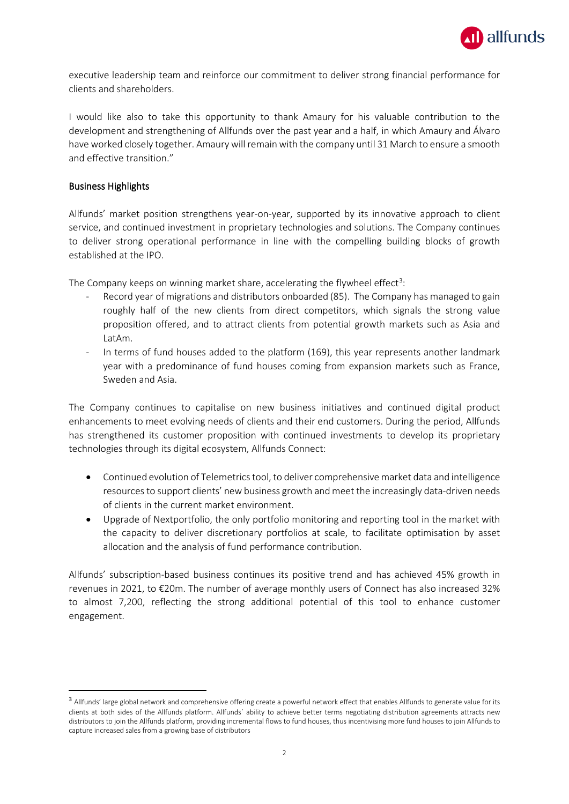

executive leadership team and reinforce our commitment to deliver strong financial performance for clients and shareholders.

I would like also to take this opportunity to thank Amaury for his valuable contribution to the development and strengthening of Allfunds over the past year and a half, in which Amaury and Álvaro have worked closely together. Amaury will remain with the company until 31 March to ensure a smooth and effective transition."

## Business Highlights

Allfunds' market position strengthens year-on-year, supported by its innovative approach to client service, and continued investment in proprietary technologies and solutions. The Company continues to deliver strong operational performance in line with the compelling building blocks of growth established at the IPO.

The Company keeps on winning market share, accelerating the flywheel effect<sup>[3](#page-1-0)</sup>:

- Record year of migrations and distributors onboarded (85). The Company has managed to gain roughly half of the new clients from direct competitors, which signals the strong value proposition offered, and to attract clients from potential growth markets such as Asia and LatAm.
- In terms of fund houses added to the platform (169), this year represents another landmark year with a predominance of fund houses coming from expansion markets such as France, Sweden and Asia.

The Company continues to capitalise on new business initiatives and continued digital product enhancements to meet evolving needs of clients and their end customers. During the period, Allfunds has strengthened its customer proposition with continued investments to develop its proprietary technologies through its digital ecosystem, Allfunds Connect:

- Continued evolution of Telemetrics tool, to deliver comprehensive market data and intelligence resources to support clients' new business growth and meet the increasingly data-driven needs of clients in the current market environment.
- Upgrade of Nextportfolio, the only portfolio monitoring and reporting tool in the market with the capacity to deliver discretionary portfolios at scale, to facilitate optimisation by asset allocation and the analysis of fund performance contribution.

Allfunds' subscription-based business continues its positive trend and has achieved 45% growth in revenues in 2021, to €20m. The number of average monthly users of Connect has also increased 32% to almost 7,200, reflecting the strong additional potential of this tool to enhance customer engagement.

<span id="page-1-0"></span><sup>&</sup>lt;sup>3</sup> Allfunds' large global network and comprehensive offering create a powerful network effect that enables Allfunds to generate value for its clients at both sides of the Allfunds platform. Allfunds´ ability to achieve better terms negotiating distribution agreements attracts new distributors to join the Allfunds platform, providing incremental flows to fund houses, thus incentivising more fund houses to join Allfunds to capture increased sales from a growing base of distributors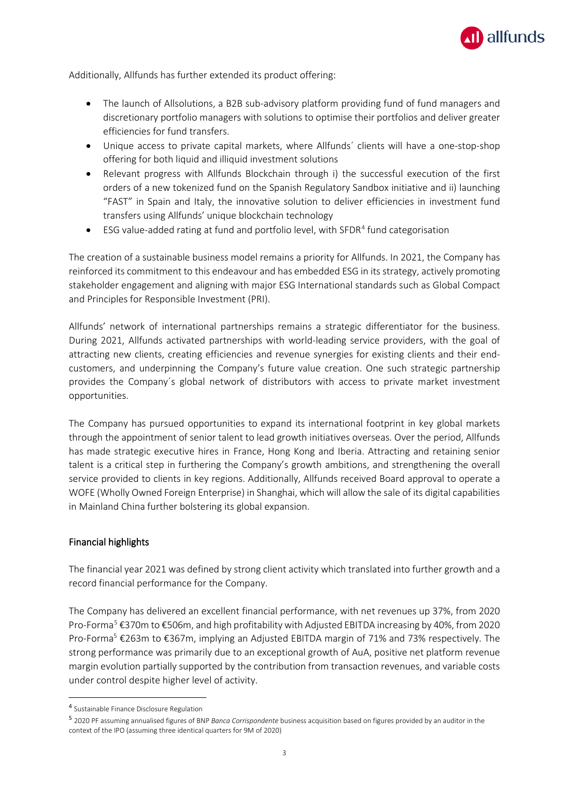

Additionally, Allfunds has further extended its product offering:

- The launch of Allsolutions, a B2B sub-advisory platform providing fund of fund managers and discretionary portfolio managers with solutions to optimise their portfolios and deliver greater efficiencies for fund transfers.
- Unique access to private capital markets, where Allfunds´ clients will have a one-stop-shop offering for both liquid and illiquid investment solutions
- Relevant progress with Allfunds Blockchain through i) the successful execution of the first orders of a new tokenized fund on the Spanish Regulatory Sandbox initiative and ii) launching "FAST" in Spain and Italy, the innovative solution to deliver efficiencies in investment fund transfers using Allfunds' unique blockchain technology
- $ESG$  value-added rating at fund and portfolio level, with  $SFR<sup>4</sup>$  $SFR<sup>4</sup>$  $SFR<sup>4</sup>$  fund categorisation

The creation of a sustainable business model remains a priority for Allfunds. In 2021, the Company has reinforced its commitment to this endeavour and has embedded ESG in its strategy, actively promoting stakeholder engagement and aligning with major ESG International standards such as Global Compact and Principles for Responsible Investment (PRI).

Allfunds' network of international partnerships remains a strategic differentiator for the business. During 2021, Allfunds activated partnerships with world-leading service providers, with the goal of attracting new clients, creating efficiencies and revenue synergies for existing clients and their endcustomers, and underpinning the Company's future value creation. One such strategic partnership provides the Company´s global network of distributors with access to private market investment opportunities.

The Company has pursued opportunities to expand its international footprint in key global markets through the appointment of senior talent to lead growth initiatives overseas. Over the period, Allfunds has made strategic executive hires in France, Hong Kong and Iberia. Attracting and retaining senior talent is a critical step in furthering the Company's growth ambitions, and strengthening the overall service provided to clients in key regions. Additionally, Allfunds received Board approval to operate a WOFE (Wholly Owned Foreign Enterprise) in Shanghai, which will allow the sale of its digital capabilities in Mainland China further bolstering its global expansion.

## Financial highlights

The financial year 2021 was defined by strong client activity which translated into further growth and a record financial performance for the Company.

The Company has delivered an excellent financial performance, with net revenues up 37%, from 2020 Pro-Forma<sup>[5](#page-2-1)</sup> €370m to €506m, and high profitability with Adjusted EBITDA increasing by 40%, from 2020 Pro-Forma<sup>5</sup> €263m to €367m, implying an Adjusted EBITDA margin of 71% and 73% respectively. The strong performance was primarily due to an exceptional growth of AuA, positive net platform revenue margin evolution partially supported by the contribution from transaction revenues, and variable costs under control despite higher level of activity.

<span id="page-2-0"></span><sup>4</sup> Sustainable Finance Disclosure Regulation

<span id="page-2-1"></span><sup>5</sup> 2020 PF assuming annualised figures of BNP *Banca Corrispondente* business acquisition based on figures provided by an auditor in the context of the IPO (assuming three identical quarters for 9M of 2020)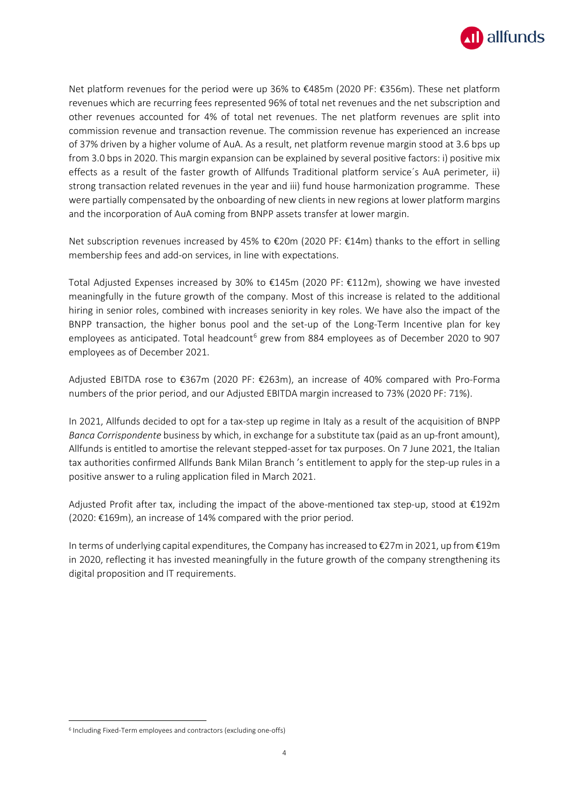

Net platform revenues for the period were up 36% to €485m (2020 PF: €356m). These net platform revenues which are recurring fees represented 96% of total net revenues and the net subscription and other revenues accounted for 4% of total net revenues. The net platform revenues are split into commission revenue and transaction revenue. The commission revenue has experienced an increase of 37% driven by a higher volume of AuA. As a result, net platform revenue margin stood at 3.6 bps up from 3.0 bps in 2020. This margin expansion can be explained by several positive factors: i) positive mix effects as a result of the faster growth of Allfunds Traditional platform service´s AuA perimeter, ii) strong transaction related revenues in the year and iii) fund house harmonization programme. These were partially compensated by the onboarding of new clients in new regions at lower platform margins and the incorporation of AuA coming from BNPP assets transfer at lower margin.

Net subscription revenues increased by 45% to €20m (2020 PF: €14m) thanks to the effort in selling membership fees and add-on services, in line with expectations.

Total Adjusted Expenses increased by 30% to €145m (2020 PF: €112m), showing we have invested meaningfully in the future growth of the company. Most of this increase is related to the additional hiring in senior roles, combined with increases seniority in key roles. We have also the impact of the BNPP transaction, the higher bonus pool and the set-up of the Long-Term Incentive plan for key employees as anticipated. Total headcount<sup>[6](#page-3-0)</sup> grew from 884 employees as of December 2020 to 907 employees as of December 2021.

Adjusted EBITDA rose to €367m (2020 PF: €263m), an increase of 40% compared with Pro-Forma numbers of the prior period, and our Adjusted EBITDA margin increased to 73% (2020 PF: 71%).

In 2021, Allfunds decided to opt for a tax-step up regime in Italy as a result of the acquisition of BNPP *Banca Corrispondente* business by which, in exchange for a substitute tax (paid as an up-front amount), Allfunds is entitled to amortise the relevant stepped-asset for tax purposes. On 7 June 2021, the Italian tax authorities confirmed Allfunds Bank Milan Branch 's entitlement to apply for the step-up rules in a positive answer to a ruling application filed in March 2021.

Adjusted Profit after tax, including the impact of the above-mentioned tax step-up, stood at €192m (2020: €169m), an increase of 14% compared with the prior period.

In terms of underlying capital expenditures, the Company has increased to €27m in 2021, up from €19m in 2020, reflecting it has invested meaningfully in the future growth of the company strengthening its digital proposition and IT requirements.

<span id="page-3-0"></span><sup>6</sup> Including Fixed-Term employees and contractors (excluding one-offs)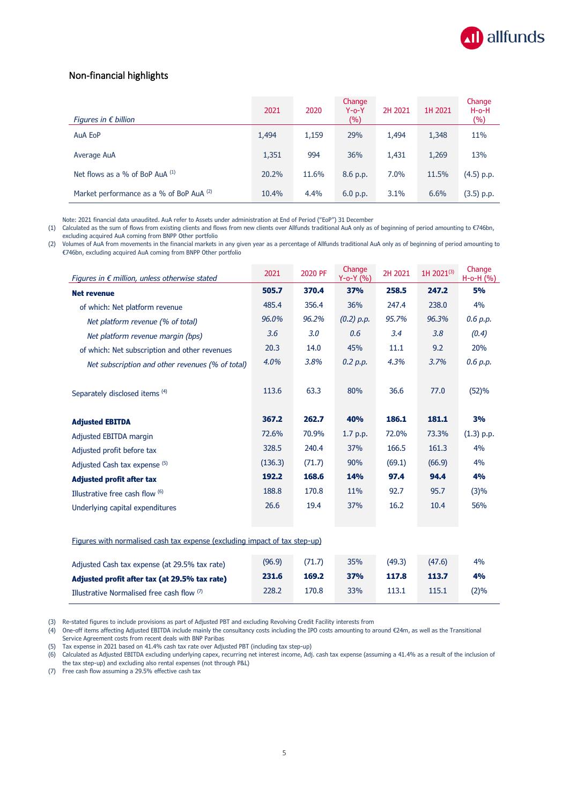

## Non-financial highlights

| Figures in $\epsilon$ billion            | 2021  | 2020  | Change<br>$Y$ -o- $Y$<br>(%) | 2H 2021 | 1H 2021 | Change<br>$H$ -o-H<br>$(\%)$ |
|------------------------------------------|-------|-------|------------------------------|---------|---------|------------------------------|
| AuA EoP                                  | 1,494 | 1,159 | 29%                          | 1,494   | 1,348   | 11%                          |
| Average AuA                              | 1,351 | 994   | 36%                          | 1,431   | 1,269   | 13%                          |
| Net flows as a % of BoP AuA $(1)$        | 20.2% | 11.6% | 8.6 p.p.                     | 7.0%    | 11.5%   | $(4.5)$ p.p.                 |
| Market performance as a % of BoP AuA (2) | 10.4% | 4.4%  | 6.0 p.p.                     | 3.1%    | 6.6%    | (3.5) p.p.                   |

Note: 2021 financial data unaudited. AuA refer to Assets under administration at End of Period ("EoP") 31 December

(1) Calculated as the sum of flows from existing clients and flows from new clients over Allfunds traditional AuA only as of beginning of period amounting to €746bn, excluding acquired AuA coming from BNPP Other portfolio

(2) Volumes of AuA from movements in the financial markets in any given year as a percentage of Allfunds traditional AuA only as of beginning of period amounting to €746bn, excluding acquired AuA coming from BNPP Other portfolio

| Figures in $\epsilon$ million, unless otherwise stated | 2021    | 2020 PF | Change<br>$Y$ -o-Y $(%)$ | 2H 2021 | 1H 2021(3) | Change<br>H-o-H (%) |
|--------------------------------------------------------|---------|---------|--------------------------|---------|------------|---------------------|
| <b>Net revenue</b>                                     | 505.7   | 370.4   | 37%                      | 258.5   | 247.2      | 5%                  |
| of which: Net platform revenue                         | 485.4   | 356.4   | 36%                      | 247.4   | 238.0      | 4%                  |
| Net platform revenue (% of total)                      | 96.0%   | 96.2%   | $(0.2)$ p.p.             | 95.7%   | 96.3%      | 0.6 p.p.            |
| Net platform revenue margin (bps)                      | 3.6     | 3.0     | 0.6                      | 3.4     | 3.8        | (0.4)               |
| of which: Net subscription and other revenues          | 20.3    | 14.0    | 45%                      | 11.1    | 9.2        | 20%                 |
| Net subscription and other revenues (% of total)       | 4.0%    | 3.8%    | 0.2 p.p.                 | 4.3%    | 3.7%       | 0.6 p.p.            |
| Separately disclosed items (4)                         | 113.6   | 63.3    | 80%                      | 36.6    | 77.0       | (52)%               |
| <b>Adjusted EBITDA</b>                                 | 367.2   | 262.7   | 40%                      | 186.1   | 181.1      | 3%                  |
| Adjusted EBITDA margin                                 | 72.6%   | 70.9%   | 1.7 p.p.                 | 72.0%   | 73.3%      | $(1.3)$ p.p.        |
| Adjusted profit before tax                             | 328.5   | 240.4   | 37%                      | 166.5   | 161.3      | 4%                  |
| Adjusted Cash tax expense (5)                          | (136.3) | (71.7)  | 90%                      | (69.1)  | (66.9)     | 4%                  |
| <b>Adjusted profit after tax</b>                       | 192.2   | 168.6   | 14%                      | 97.4    | 94.4       | 4%                  |
| Illustrative free cash flow (6)                        | 188.8   | 170.8   | 11%                      | 92.7    | 95.7       | (3)%                |
| Underlying capital expenditures                        | 26.6    | 19.4    | 37%                      | 16.2    | 10.4       | 56%                 |
|                                                        |         |         |                          |         |            |                     |

Figures with normalised cash tax expense (excluding impact of tax step-up)

| Adjusted Cash tax expense (at 29.5% tax rate) | (96.9) | (71.7) | <b>35%</b> | (49.3) | (47.6) | 4%   |
|-----------------------------------------------|--------|--------|------------|--------|--------|------|
| Adjusted profit after tax (at 29.5% tax rate) | 231.6  | 169.2  | 37%        | 117.8  | 113.7  | 4%   |
| Illustrative Normalised free cash flow (7)    | 228.2  | 170.8  | 33%        | 113.1  | 1151   | (2)% |

(3) Re-stated figures to include provisions as part of Adjusted PBT and excluding Revolving Credit Facility interests from

(4) One-off items affecting Adjusted EBITDA include mainly the consultancy costs including the IPO costs amounting to around €24m, as well as the Transitional Service Agreement costs from recent deals with BNP Paribas

(5) Tax expense in 2021 based on 41.4% cash tax rate over Adjusted PBT (including tax step-up)

(6) Calculated as Adjusted EBITDA excluding underlying capex, recurring net interest income, Adj. cash tax expense (assuming a 41.4% as a result of the inclusion of the tax step-up) and excluding also rental expenses (not through P&L)

(7) Free cash flow assuming a 29.5% effective cash tax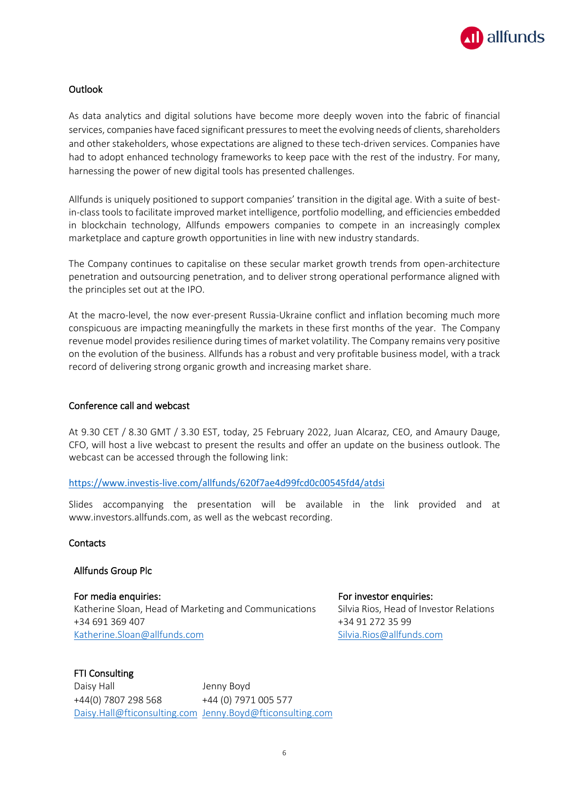

# Outlook

As data analytics and digital solutions have become more deeply woven into the fabric of financial services, companies have faced significant pressures to meet the evolving needs of clients, shareholders and other stakeholders, whose expectations are aligned to these tech-driven services. Companies have had to adopt enhanced technology frameworks to keep pace with the rest of the industry. For many, harnessing the power of new digital tools has presented challenges.

Allfunds is uniquely positioned to support companies' transition in the digital age. With a suite of bestin-class tools to facilitate improved market intelligence, portfolio modelling, and efficiencies embedded in blockchain technology, Allfunds empowers companies to compete in an increasingly complex marketplace and capture growth opportunities in line with new industry standards.

The Company continues to capitalise on these secular market growth trends from open-architecture penetration and outsourcing penetration, and to deliver strong operational performance aligned with the principles set out at the IPO.

At the macro-level, the now ever-present Russia-Ukraine conflict and inflation becoming much more conspicuous are impacting meaningfully the markets in these first months of the year. The Company revenue model provides resilience during times of market volatility. The Company remains very positive on the evolution of the business. Allfunds has a robust and very profitable business model, with a track record of delivering strong organic growth and increasing market share.

## Conference call and webcast

At 9.30 CET / 8.30 GMT / 3.30 EST, today, 25 February 2022, Juan Alcaraz, CEO, and Amaury Dauge, CFO, will host a live webcast to present the results and offer an update on the business outlook. The webcast can be accessed through the following link:

## [https://www.investis-live.com/allfunds/620f7ae4d99fcd0c00545fd4/atdsi](https://ddec1-0-en-ctp.trendmicro.com/wis/clicktime/v1/query?url=https%3a%2f%2fwww.investis%2dlive.com%2fallfunds%2f620f7ae4d99fcd0c00545fd4%2fatdsi&umid=be3a9be4-e721-43ce-9bfc-40fd0d35201d&auth=e0235952125b72be019bfef96f54f2303cf1d5e8-a3a7f878de921768a114810a1050c5970ddaaada)

Slides accompanying the presentation will be available in the link provided and at www.investors.allfunds.com, as well as the webcast recording.

## **Contacts**

#### Allfunds Group Plc

For media enquiries: For investor enquiries: Katherine Sloan, Head of Marketing and Communications +34 691 369 407 [Katherine.Sloan@allfunds.com](mailto:Katherine.Sloan@allfunds.com)

Silvia Rios, Head of Investor Relations +34 91 272 35 99 [Silvia.Rios@allfunds.com](mailto:Silvia.Rios@allfunds.com)

## FTI Consulting

Daisy Hall Jenny Boyd +44(0) 7807 298 568 +44 (0) 7971 005 577 [Daisy.Hall@fticonsulting.com](mailto:Daisy.Hall@fticonsulting.com) [Jenny.Boyd@fticonsulting.com](mailto:Jenny.Boyd@fticonsulting.com)